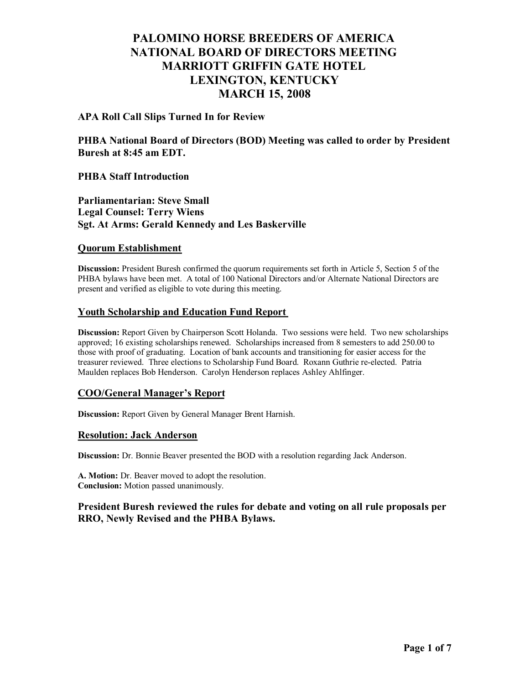## **APA Roll Call Slips Turned In for Review**

**PHBA National Board of Directors (BOD) Meeting was called to order by President Buresh at 8:45 am EDT.**

## **PHBA Staff Introduction**

**Parliamentarian: Steve Small Legal Counsel: Terry Wiens Sgt. At Arms: Gerald Kennedy and Les Baskerville**

### **Quorum Establishment**

**Discussion:** President Buresh confirmed the quorum requirements set forth in Article 5, Section 5 of the PHBA bylaws have been met. A total of 100 National Directors and/or Alternate National Directors are present and verified as eligible to vote during this meeting.

## **Youth Scholarship and Education Fund Report**

**Discussion:** Report Given by Chairperson Scott Holanda. Two sessions were held. Two new scholarships approved; 16 existing scholarships renewed. Scholarships increased from 8 semesters to add 250.00 to those with proof of graduating. Location of bank accounts and transitioning for easier access for the treasurer reviewed. Three elections to Scholarship Fund Board. Roxann Guthrie re-elected. Patria Maulden replaces Bob Henderson. Carolyn Henderson replaces Ashley Ahlfinger.

### **COO/General Manager's Report**

**Discussion:** Report Given by General Manager Brent Harnish.

### **Resolution: Jack Anderson**

**Discussion:** Dr. Bonnie Beaver presented the BOD with a resolution regarding Jack Anderson.

**A. Motion:** Dr. Beaver moved to adopt the resolution. **Conclusion:** Motion passed unanimously.

## **President Buresh reviewed the rules for debate and voting on all rule proposals per RRO, Newly Revised and the PHBA Bylaws.**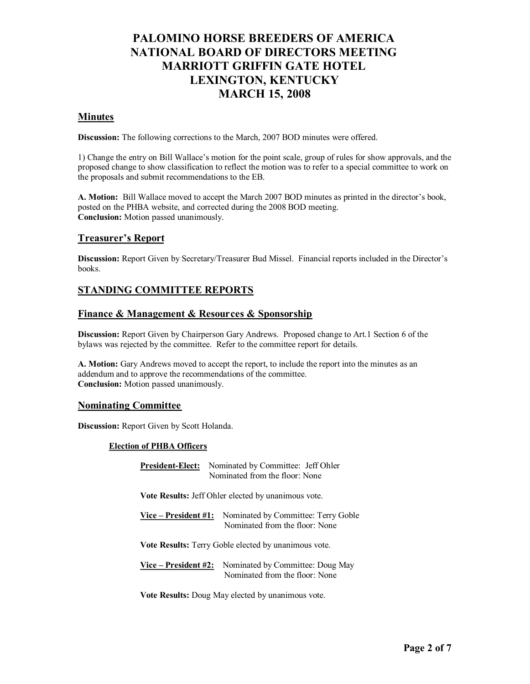### **Minutes**

**Discussion:** The following corrections to the March, 2007 BOD minutes were offered.

1) Change the entry on Bill Wallace's motion for the point scale, group of rules for show approvals, and the proposed change to show classification to reflect the motion was to refer to a special committee to work on the proposals and submit recommendations to the EB.

**A. Motion:** Bill Wallace moved to accept the March 2007 BOD minutes as printed in the director's book, posted on the PHBA website, and corrected during the 2008 BOD meeting. **Conclusion:** Motion passed unanimously.

### **Treasurer's Report**

**Discussion:** Report Given by Secretary/Treasurer Bud Missel. Financial reports included in the Director's books.

# **STANDING COMMITTEE REPORTS**

### **Finance & Management & Resources & Sponsorship**

**Discussion:** Report Given by Chairperson Gary Andrews. Proposed change to Art.1 Section 6 of the bylaws was rejected by the committee. Refer to the committee report for details.

**A. Motion:** Gary Andrews moved to accept the report, to include the report into the minutes as an addendum and to approve the recommendations of the committee. **Conclusion:** Motion passed unanimously.

### **Nominating Committee**

**Discussion:** Report Given by Scott Holanda.

### **Election of PHBA Officers**

| <b>President-Elect:</b>                                    | Nominated by Committee: Jeff Ohler<br>Nominated from the floor: None  |
|------------------------------------------------------------|-----------------------------------------------------------------------|
| <b>Vote Results:</b> Jeff Ohler elected by unanimous vote. |                                                                       |
| Vice – President #1:                                       | Nominated by Committee: Terry Goble<br>Nominated from the floor: None |
| Vote Results: Terry Goble elected by unanimous vote.       |                                                                       |
| Vice – President #2:                                       | Nominated by Committee: Doug May<br>Nominated from the floor: None    |

**Vote Results:** Doug May elected by unanimous vote.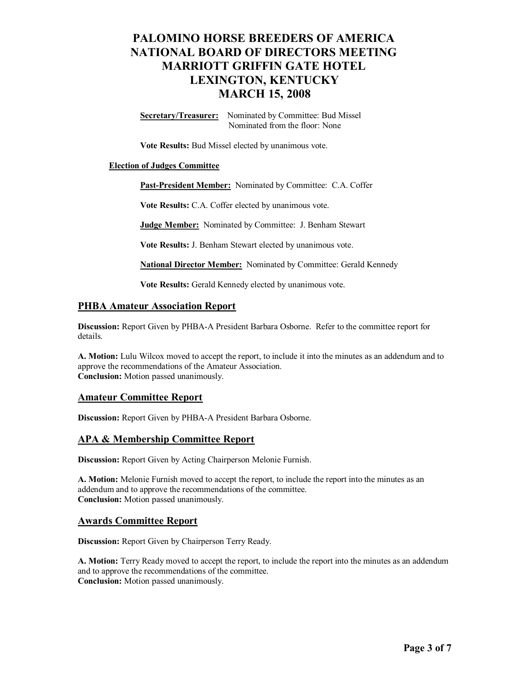**Secretary/Treasurer:** Nominated by Committee: Bud Missel Nominated from the floor: None

**Vote Results:** Bud Missel elected by unanimous vote.

#### **Election of Judges Committee**

**Past-President Member:** Nominated by Committee: C.A. Coffer

**Vote Results:** C.A. Coffer elected by unanimous vote.

**Judge Member:** Nominated by Committee: J. Benham Stewart

**Vote Results:** J. Benham Stewart elected by unanimous vote.

**National Director Member:** Nominated by Committee: Gerald Kennedy

**Vote Results:** Gerald Kennedy elected by unanimous vote.

### **PHBA Amateur Association Report**

**Discussion:** Report Given by PHBA-A President Barbara Osborne. Refer to the committee report for details.

**A. Motion:** Lulu Wilcox moved to accept the report, to include it into the minutes as an addendum and to approve the recommendations of the Amateur Association. **Conclusion:** Motion passed unanimously.

### **Amateur Committee Report**

**Discussion:** Report Given by PHBA-A President Barbara Osborne.

### **APA & Membership Committee Report**

**Discussion:** Report Given by Acting Chairperson Melonie Furnish.

**A. Motion:** Melonie Furnish moved to accept the report, to include the report into the minutes as an addendum and to approve the recommendations of the committee. **Conclusion:** Motion passed unanimously.

### **Awards Committee Report**

**Discussion:** Report Given by Chairperson Terry Ready.

**A. Motion:** Terry Ready moved to accept the report, to include the report into the minutes as an addendum and to approve the recommendations of the committee. **Conclusion:** Motion passed unanimously.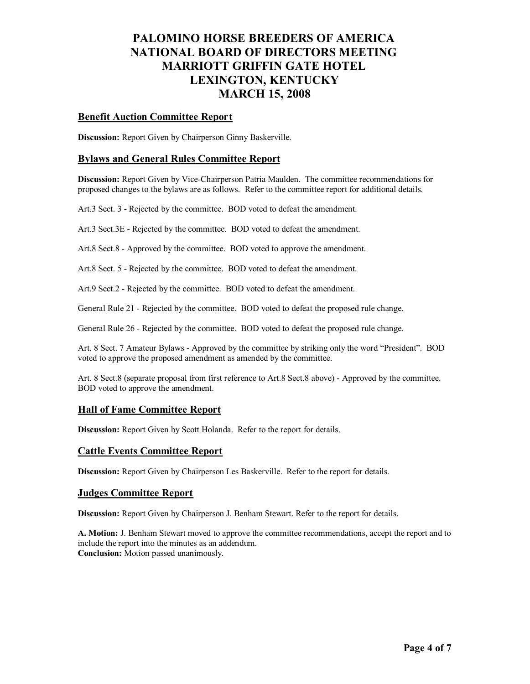### **Benefit Auction Committee Report**

**Discussion:** Report Given by Chairperson Ginny Baskerville.

### **Bylaws and General Rules Committee Report**

**Discussion:** Report Given by Vice-Chairperson Patria Maulden. The committee recommendations for proposed changes to the bylaws are as follows. Refer to the committee report for additional details.

Art.3 Sect. 3 - Rejected by the committee. BOD voted to defeat the amendment.

Art.3 Sect.3E - Rejected by the committee. BOD voted to defeat the amendment.

Art.8 Sect.8 - Approved by the committee. BOD voted to approve the amendment.

Art.8 Sect. 5 - Rejected by the committee. BOD voted to defeat the amendment.

Art.9 Sect.2 - Rejected by the committee. BOD voted to defeat the amendment.

General Rule 21 - Rejected by the committee. BOD voted to defeat the proposed rule change.

General Rule 26 - Rejected by the committee. BOD voted to defeat the proposed rule change.

Art. 8 Sect. 7 Amateur Bylaws - Approved by the committee by striking only the word "President". BOD voted to approve the proposed amendment as amended by the committee.

Art. 8 Sect.8 (separate proposal from first reference to Art.8 Sect.8 above) - Approved by the committee. BOD voted to approve the amendment.

### **Hall of Fame Committee Report**

**Discussion:** Report Given by Scott Holanda. Refer to the report for details.

### **Cattle Events Committee Report**

**Discussion:** Report Given by Chairperson Les Baskerville. Refer to the report for details.

### **Judges Committee Report**

**Discussion:** Report Given by Chairperson J. Benham Stewart. Refer to the report for details.

**A. Motion:** J. Benham Stewart moved to approve the committee recommendations, accept the report and to include the report into the minutes as an addendum. **Conclusion:** Motion passed unanimously.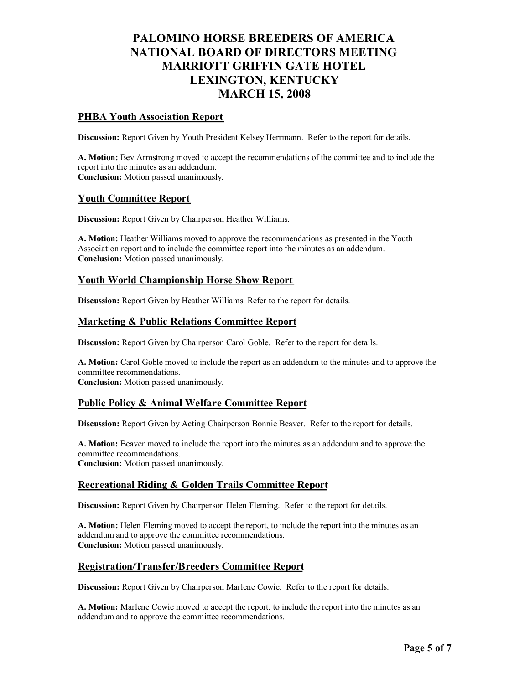## **PHBA Youth Association Report**

**Discussion:** Report Given by Youth President Kelsey Herrmann. Refer to the report for details.

**A. Motion:** Bev Armstrong moved to accept the recommendations of the committee and to include the report into the minutes as an addendum. **Conclusion:** Motion passed unanimously.

### **Youth Committee Report**

**Discussion:** Report Given by Chairperson Heather Williams.

**A. Motion:** Heather Williams moved to approve the recommendations as presented in the Youth Association report and to include the committee report into the minutes as an addendum. **Conclusion:** Motion passed unanimously.

### **Youth World Championship Horse Show Report**

**Discussion:** Report Given by Heather Williams. Refer to the report for details.

### **Marketing & Public Relations Committee Report**

**Discussion:** Report Given by Chairperson Carol Goble. Refer to the report for details.

**A. Motion:** Carol Goble moved to include the report as an addendum to the minutes and to approve the committee recommendations.

**Conclusion:** Motion passed unanimously.

### **Public Policy & Animal Welfare Committee Report**

**Discussion:** Report Given by Acting Chairperson Bonnie Beaver. Refer to the report for details.

**A. Motion:** Beaver moved to include the report into the minutes as an addendum and to approve the committee recommendations. **Conclusion:** Motion passed unanimously.

### **Recreational Riding & Golden Trails Committee Report**

**Discussion:** Report Given by Chairperson Helen Fleming. Refer to the report for details.

**A. Motion:** Helen Fleming moved to accept the report, to include the report into the minutes as an addendum and to approve the committee recommendations. **Conclusion:** Motion passed unanimously.

### **Registration/Transfer/Breeders Committee Report**

**Discussion:** Report Given by Chairperson Marlene Cowie. Refer to the report for details.

**A. Motion:** Marlene Cowie moved to accept the report, to include the report into the minutes as an addendum and to approve the committee recommendations.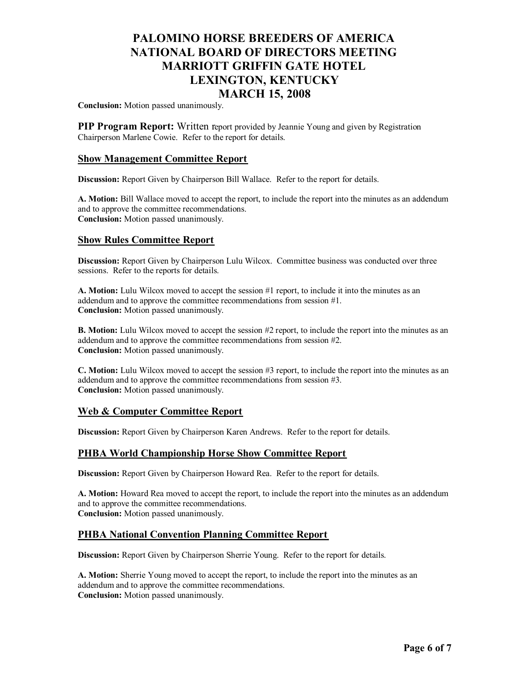**Conclusion:** Motion passed unanimously.

**PIP Program Report:** Written report provided by Jeannie Young and given by Registration Chairperson Marlene Cowie. Refer to the report for details.

### **Show Management Committee Report**

**Discussion:** Report Given by Chairperson Bill Wallace. Refer to the report for details.

**A. Motion:** Bill Wallace moved to accept the report, to include the report into the minutes as an addendum and to approve the committee recommendations. **Conclusion:** Motion passed unanimously.

## **Show Rules Committee Report**

**Discussion:** Report Given by Chairperson Lulu Wilcox. Committee business was conducted over three sessions. Refer to the reports for details.

**A. Motion:** Lulu Wilcox moved to accept the session #1 report, to include it into the minutes as an addendum and to approve the committee recommendations from session #1. **Conclusion:** Motion passed unanimously.

**B. Motion:** Lulu Wilcox moved to accept the session #2 report, to include the report into the minutes as an addendum and to approve the committee recommendations from session #2. **Conclusion:** Motion passed unanimously.

**C. Motion:** Lulu Wilcox moved to accept the session #3 report, to include the report into the minutes as an addendum and to approve the committee recommendations from session #3. **Conclusion:** Motion passed unanimously.

# **Web & Computer Committee Report**

**Discussion:** Report Given by Chairperson Karen Andrews. Refer to the report for details.

### **PHBA World Championship Horse Show Committee Report**

**Discussion:** Report Given by Chairperson Howard Rea. Refer to the report for details.

**A. Motion:** Howard Rea moved to accept the report, to include the report into the minutes as an addendum and to approve the committee recommendations. **Conclusion:** Motion passed unanimously.

### **PHBA National Convention Planning Committee Report**

**Discussion:** Report Given by Chairperson Sherrie Young. Refer to the report for details.

**A. Motion:** Sherrie Young moved to accept the report, to include the report into the minutes as an addendum and to approve the committee recommendations. **Conclusion:** Motion passed unanimously.